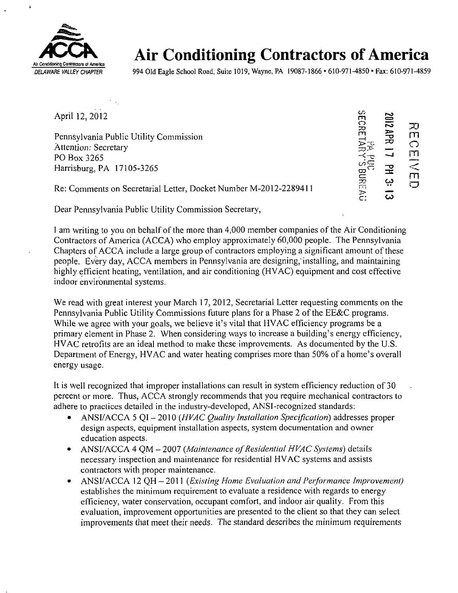

 $\overline{\mathbf{r}}$ 

## Air Conditioning Contractors of America

DELAWARE VALLEY CHAPTER 994 Old Eagle School Road, Suite 1019, Wayne, PA 19087-1866 • 610-971-4850 • Fax: 610-971-4859

April 12, 2012

Pennsylvania Public Utility Commission Attention: Secretary PO Box 3265 Harrisburg, PA 17105-3265

*» £ ?o*   $\overline{\mathbf{a}}$   $\overline{\mathbf{a}}$   $\overline{\mathbf{a}}$   $\overline{\mathbf{a}}$ 2012 APR 17 PM 3:  $\tilde{\epsilon}$ :  $\omega$ **DEIVE**  $\subset$ 

Re: Comments on Secretarial Letter, Docket Number M-2012-2289411

Dear Pennsylvania Public Utility Commission Secretary,

I am writing to you on behalf of the more than 4,000 member companies of the Air Conditioning Contractors of America (ACCA) who employ approximately 60,000 people. The Pennsylvania Chapters of ACCA include a large group of contractors employing a significant amount of these people. Every day, ACCA members in Pennsylvania are designing, installing, and maintaining highly efficient heating, ventilation, and air conditioning (HVAC) equipment and cost effective indoor environmental systems.

We read with great interest your March 17, 2012, Secretarial Letter requesting comments on the Pennsylvania Public Utility Commissions future plans for a Phase 2 of the EE&C programs. While we agree with your goals, we believe it's vital that HVAC efficiency programs be a primary element in Phase 2. When considering ways to increase a building's energy efficiency, HVAC retrofits are an ideal method to make these improvements. As documented by the U.S. Department of Energy, HVAC and water heating comprises more than 50% of a home's overall energy usage.

It is well recognized that improper installations can result in system efficiency reduction of 30 percent or more. Thus, ACCA strongly recommends that you require mechanical contractors to adhere to practices detailed in the industry-developed, ANSI-recognized standards:

- ANSI/ACCA 5 QI 2010 (HVAC Quality Installation Specification) addresses proper design aspects, equipment installation aspects, system documentation and owner education aspects.
- ANSI/ACCA 4 QM 2007 (Maintenance of Residential HVAC Systems) details necessary inspection and maintenance for residential HVAC systems and assists contractors with proper maintenance.
- ANSI/ACCA 12 QH 2011 (Existing Home Evaluation and Performance Improvement) establishes the minimum requirement to evaluate a residence with regards to energy efficiency, water conservation, occupant comfort, and indoor air quality. From this evaluation, improvement opportunities are presented to the client so that they can select improvements that meet their needs. The standard describes the minimum requirements